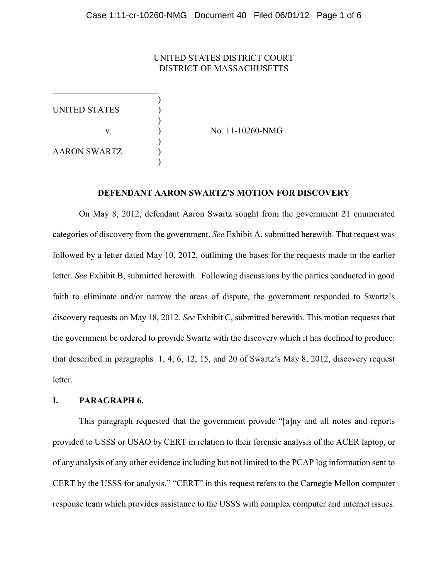## UNITED STATES DISTRICT COURT DISTRICT OF MASSACHUSETTS

UNITED STATES

 $\qquad \qquad \Box$ 

)

)

)

v.  $\qquad \qquad$  ) No. 11-10260-NMG

AARON SWARTZ )

## **DEFENDANT AARON SWARTZ'S MOTION FOR DISCOVERY**

On May 8, 2012, defendant Aaron Swartz sought from the government 21 enumerated categories of discovery from the government. *See* Exhibit A, submitted herewith. That request was followed by a letter dated May 10, 2012, outlining the bases for the requests made in the earlier letter. *See* Exhibit B, submitted herewith. Following discussions by the parties conducted in good faith to eliminate and/or narrow the areas of dispute, the government responded to Swartz's discovery requests on May 18, 2012. *See* Exhibit C, submitted herewith. This motion requests that the government be ordered to provide Swartz with the discovery which it has declined to produce: that described in paragraphs 1, 4, 6, 12, 15, and 20 of Swartz's May 8, 2012, discovery request letter.

### **I. PARAGRAPH 6.**

This paragraph requested that the government provide "[a]ny and all notes and reports provided to USSS or USAO by CERT in relation to their forensic analysis of the ACER laptop, or of any analysis of any other evidence including but not limited to the PCAP log information sent to CERT by the USSS for analysis." "CERT" in this request refers to the Carnegie Mellon computer response team which provides assistance to the USSS with complex computer and internet issues.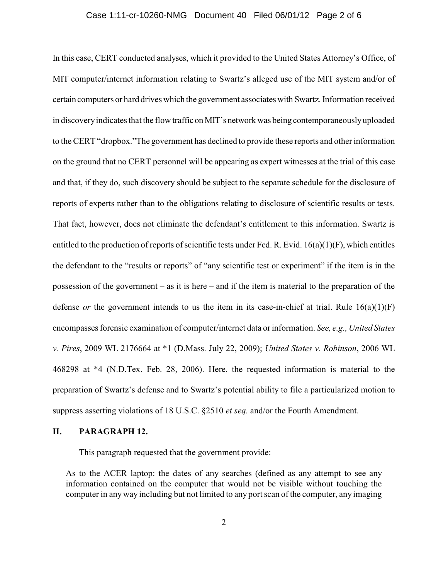#### Case 1:11-cr-10260-NMG Document 40 Filed 06/01/12 Page 2 of 6

In this case, CERT conducted analyses, which it provided to the United States Attorney's Office, of MIT computer/internet information relating to Swartz's alleged use of the MIT system and/or of certain computers or hard drives which the government associates with Swartz. Information received in discovery indicates that the flow traffic on MIT's network was being contemporaneously uploaded to the CERT "dropbox."The government has declined to provide these reports and other information on the ground that no CERT personnel will be appearing as expert witnesses at the trial of this case and that, if they do, such discovery should be subject to the separate schedule for the disclosure of reports of experts rather than to the obligations relating to disclosure of scientific results or tests. That fact, however, does not eliminate the defendant's entitlement to this information. Swartz is entitled to the production of reports of scientific tests under Fed. R. Evid. 16(a)(1)(F), which entitles the defendant to the "results or reports" of "any scientific test or experiment" if the item is in the possession of the government – as it is here – and if the item is material to the preparation of the defense *or* the government intends to us the item in its case-in-chief at trial. Rule  $16(a)(1)(F)$ encompasses forensic examination of computer/internet data or information. *See, e.g., United States v. Pires*, 2009 WL 2176664 at \*1 (D.Mass. July 22, 2009); *United States v. Robinson*, 2006 WL 468298 at \*4 (N.D.Tex. Feb. 28, 2006). Here, the requested information is material to the preparation of Swartz's defense and to Swartz's potential ability to file a particularized motion to suppress asserting violations of 18 U.S.C. §2510 *et seq.* and/or the Fourth Amendment.

### **II. PARAGRAPH 12.**

This paragraph requested that the government provide:

As to the ACER laptop: the dates of any searches (defined as any attempt to see any information contained on the computer that would not be visible without touching the computer in any way including but not limited to any port scan of the computer, any imaging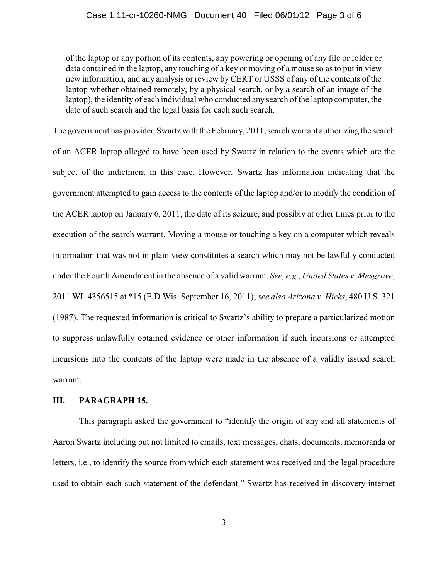of the laptop or any portion of its contents, any powering or opening of any file or folder or data contained in the laptop, any touching of a key or moving of a mouse so as to put in view new information, and any analysis or review by CERT or USSS of any of the contents of the laptop whether obtained remotely, by a physical search, or by a search of an image of the laptop), the identity of each individual who conducted any search of the laptop computer, the date of such search and the legal basis for each such search.

The government has provided Swartz with the February, 2011, search warrant authorizing the search of an ACER laptop alleged to have been used by Swartz in relation to the events which are the subject of the indictment in this case. However, Swartz has information indicating that the government attempted to gain access to the contents of the laptop and/or to modify the condition of the ACER laptop on January 6, 2011, the date of its seizure, and possibly at other times prior to the execution of the search warrant. Moving a mouse or touching a key on a computer which reveals information that was not in plain view constitutes a search which may not be lawfully conducted under the Fourth Amendment in the absence of a valid warrant. *See, e.g., United States v. Musgrove*, 2011 WL 4356515 at \*15 (E.D.Wis. September 16, 2011); *see also Arizona v. Hicks*, 480 U.S. 321 (1987). The requested information is critical to Swartz's ability to prepare a particularized motion to suppress unlawfully obtained evidence or other information if such incursions or attempted incursions into the contents of the laptop were made in the absence of a validly issued search warrant.

### **III. PARAGRAPH 15.**

This paragraph asked the government to "identify the origin of any and all statements of Aaron Swartz including but not limited to emails, text messages, chats, documents, memoranda or letters, i.e., to identify the source from which each statement was received and the legal procedure used to obtain each such statement of the defendant." Swartz has received in discovery internet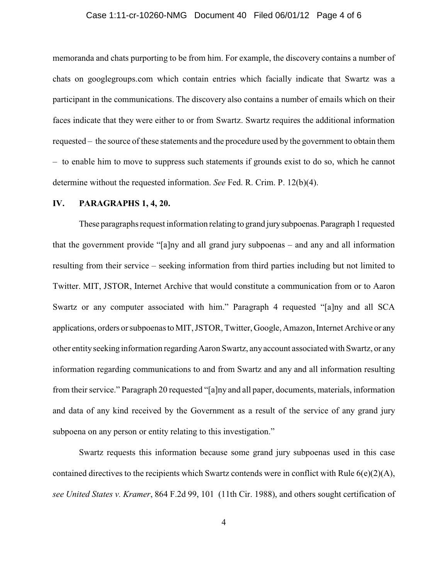#### Case 1:11-cr-10260-NMG Document 40 Filed 06/01/12 Page 4 of 6

memoranda and chats purporting to be from him. For example, the discovery contains a number of chats on googlegroups.com which contain entries which facially indicate that Swartz was a participant in the communications. The discovery also contains a number of emails which on their faces indicate that they were either to or from Swartz. Swartz requires the additional information requested – the source of these statements and the procedure used by the government to obtain them – to enable him to move to suppress such statements if grounds exist to do so, which he cannot determine without the requested information. *See* Fed. R. Crim. P. 12(b)(4).

#### **IV. PARAGRAPHS 1, 4, 20.**

These paragraphs request information relating to grand jurysubpoenas. Paragraph 1 requested that the government provide "[a]ny and all grand jury subpoenas – and any and all information resulting from their service – seeking information from third parties including but not limited to Twitter. MIT, JSTOR, Internet Archive that would constitute a communication from or to Aaron Swartz or any computer associated with him." Paragraph 4 requested "[a]ny and all SCA applications, orders or subpoenas to MIT, JSTOR, Twitter, Google, Amazon, Internet Archive or any other entityseeking information regardingAaron Swartz, anyaccount associated with Swartz, or any information regarding communications to and from Swartz and any and all information resulting from their service." Paragraph 20 requested "[a]ny and all paper, documents, materials, information and data of any kind received by the Government as a result of the service of any grand jury subpoena on any person or entity relating to this investigation."

Swartz requests this information because some grand jury subpoenas used in this case contained directives to the recipients which Swartz contends were in conflict with Rule 6(e)(2)(A), *see United States v. Kramer*, 864 F.2d 99, 101 (11th Cir. 1988), and others sought certification of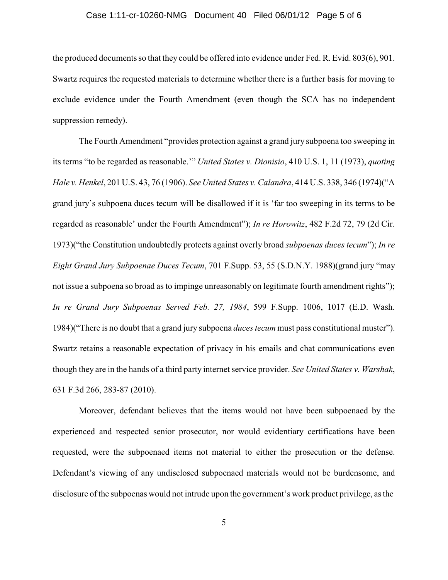#### Case 1:11-cr-10260-NMG Document 40 Filed 06/01/12 Page 5 of 6

the produced documents so that they could be offered into evidence under Fed. R. Evid. 803(6), 901. Swartz requires the requested materials to determine whether there is a further basis for moving to exclude evidence under the Fourth Amendment (even though the SCA has no independent suppression remedy).

The Fourth Amendment "provides protection against a grand jury subpoena too sweeping in its terms "to be regarded as reasonable.'" *United States v. Dionisio*, 410 U.S. 1, 11 (1973), *quoting Hale v. Henkel*, 201 U.S. 43, 76 (1906). *See United States v. Calandra*, 414 U.S. 338, 346 (1974)("A grand jury's subpoena duces tecum will be disallowed if it is 'far too sweeping in its terms to be regarded as reasonable' under the Fourth Amendment"); *In re Horowitz*, 482 F.2d 72, 79 (2d Cir. 1973)("the Constitution undoubtedly protects against overly broad *subpoenas duces tecum*"); *In re Eight Grand Jury Subpoenae Duces Tecum*, 701 F.Supp. 53, 55 (S.D.N.Y. 1988)(grand jury "may not issue a subpoena so broad as to impinge unreasonably on legitimate fourth amendment rights"); *In re Grand Jury Subpoenas Served Feb. 27, 1984*, 599 F.Supp. 1006, 1017 (E.D. Wash. 1984)("There is no doubt that a grand jury subpoena *duces tecum* must pass constitutional muster"). Swartz retains a reasonable expectation of privacy in his emails and chat communications even though they are in the hands of a third party internet service provider. *See United States v. Warshak*, 631 F.3d 266, 283-87 (2010).

Moreover, defendant believes that the items would not have been subpoenaed by the experienced and respected senior prosecutor, nor would evidentiary certifications have been requested, were the subpoenaed items not material to either the prosecution or the defense. Defendant's viewing of any undisclosed subpoenaed materials would not be burdensome, and disclosure of the subpoenas would not intrude upon the government's work product privilege, as the